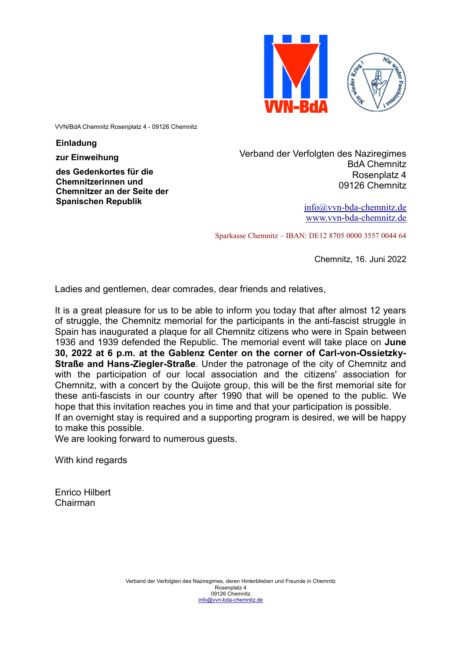

VVN/BdA Chemnitz Rosenplatz 4 - 09126 Chemnitz

**Einladung**

**zur Einweihung**

**des Gedenkortes für die Chemnitzerinnen und Chemnitzer an der Seite der Spanischen Republik**

Verband der Verfolgten des Naziregimes BdA Chemnitz Rosenplatz 4 09126 Chemnitz

> info@vvn-bda-chemnitz.de www.vvn-bda-chemnitz.de

Sparkasse Chemnitz – IBAN: DE12 8705 0000 3557 0044 64

Chemnitz, 16. Juni 2022

Ladies and gentlemen, dear comrades, dear friends and relatives,

It is a great pleasure for us to be able to inform you today that after almost 12 years of struggle, the Chemnitz memorial for the participants in the anti-fascist struggle in Spain has inaugurated a plaque for all Chemnitz citizens who were in Spain between 1936 and 1939 defended the Republic. The memorial event will take place on **June 30, 2022 at 6 p.m. at the Gablenz Center on the corner of Carl-von-Ossietzky-Straße and Hans-Ziegler-Straße**. Under the patronage of the city of Chemnitz and with the participation of our local association and the citizens' association for Chemnitz, with a concert by the Quijote group, this will be the first memorial site for these anti-fascists in our country after 1990 that will be opened to the public. We hope that this invitation reaches you in time and that your participation is possible. If an overnight stay is required and a supporting program is desired, we will be happy to make this possible.

We are looking forward to numerous guests.

With kind regards

Enrico Hilbert Chairman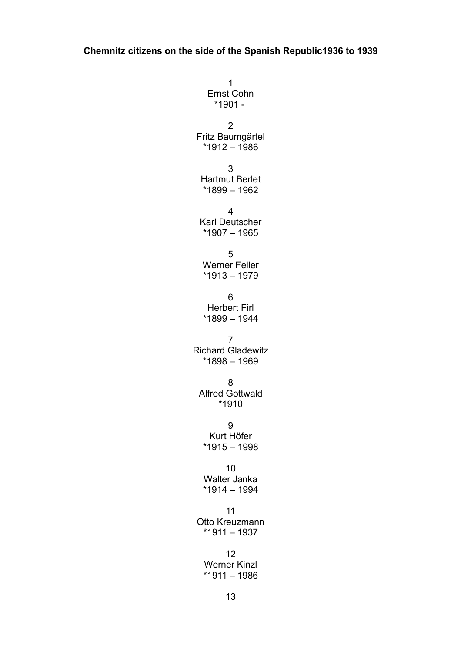1 Ernst Cohn  $*1901 -$ 2 Fritz Baumgärtel \*1912 – 1986 3 Hartmut Berlet \*1899 – 1962 4 Karl Deutscher \*1907 – 1965 5 Werner Feiler  $*1913 - 1979$ 6 Herbert Firl \*1899 – 1944 7 Richard Gladewitz \*1898 – 1969 8 Alfred Gottwald \*1910 9 Kurt Höfer  $*1915 - 1998$ 10 Walter Janka  $*1914 - 1994$ 11 Otto Kreuzmann  $*1911 - 1937$ 12 Werner Kinzl  $*1911 - 1986$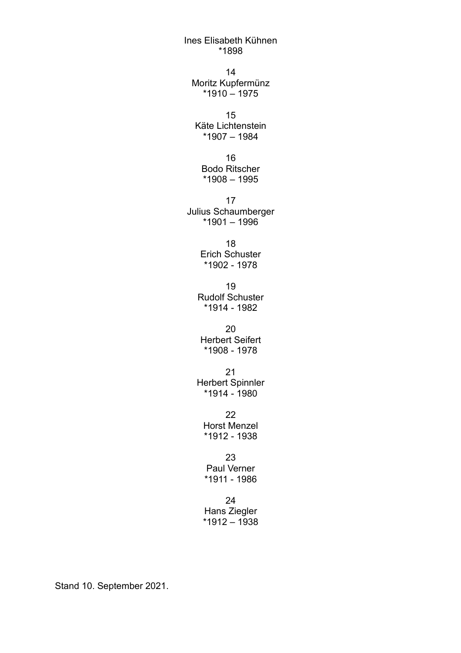Ines Elisabeth Kühnen \*1898

14 Moritz Kupfermünz \*1910 – 1975

15 Käte Lichtenstein \*1907 – 1984

16 Bodo Ritscher \*1908 – 1995

17 Julius Schaumberger \*1901 – 1996

> 18 Erich Schuster \*1902 - 1978

19 Rudolf Schuster \*1914 - 1982

20 Herbert Seifert \*1908 - 1978

21 Herbert Spinnler \*1914 - 1980

22 Horst Menzel \*1912 - 1938

23 Paul Verner \*1911 - 1986

24 Hans Ziegler  $*1912 - 1938$ 

Stand 10. September 2021.